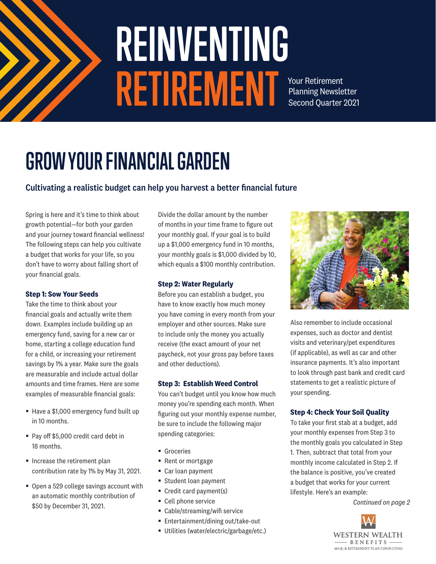

# **REINVENTING RETIREMENT**

Your Retirement Planning Newsletter Second Quarter 2021

# **GROW YOUR FINANCIAL GARDEN**

#### Cultivating a realistic budget can help you harvest a better financial future

Spring is here and it's time to think about growth potential—for both your garden and your journey toward financial wellness! The following steps can help you cultivate a budget that works for your life, so you don't have to worry about falling short of your financial goals.

#### **Step 1: Sow Your Seeds**

Take the time to think about your financial goals and actually write them down. Examples include building up an emergency fund, saving for a new car or home, starting a college education fund for a child, or increasing your retirement savings by 1% a year. Make sure the goals are measurable and include actual dollar amounts and time frames. Here are some examples of measurable financial goals:

- Have a \$1,000 emergency fund built up in 10 months.
- Pay off \$5,000 credit card debt in 18 months.
- Increase the retirement plan contribution rate by 1% by May 31, 2021.
- Open a 529 college savings account with an automatic monthly contribution of \$50 by December 31, 2021.

Divide the dollar amount by the number of months in your time frame to figure out your monthly goal. If your goal is to build up a \$1,000 emergency fund in 10 months, your monthly goals is \$1,000 divided by 10, which equals a \$100 monthly contribution.

#### **Step 2: Water Regularly**

Before you can establish a budget, you have to know exactly how much money you have coming in every month from your employer and other sources. Make sure to include only the money you actually receive (the exact amount of your net paycheck, not your gross pay before taxes and other deductions).

#### **Step 3: Establish Weed Control**

You can't budget until you know how much money you're spending each month. When figuring out your monthly expense number, be sure to include the following major spending categories:

- Groceries
- Rent or mortgage
- Car loan payment
- Student loan payment
- Credit card payment(s)
- Cell phone service
- Cable/streaming/wifi service
- Entertainment/dining out/take-out
- Utilities (water/electric/garbage/etc.)



Also remember to include occasional expenses, such as doctor and dentist visits and veterinary/pet expenditures (if applicable), as well as car and other insurance payments. It's also important to look through past bank and credit card statements to get a realistic picture of your spending.

#### **Step 4: Check Your Soil Quality**

To take your first stab at a budget, add your monthly expenses from Step 3 to the monthly goals you calculated in Step 1. Then, subtract that total from your monthly income calculated in Step 2. If the balance is positive, you've created a budget that works for your current lifestyle. Here's an example:

*Continued on page 2*

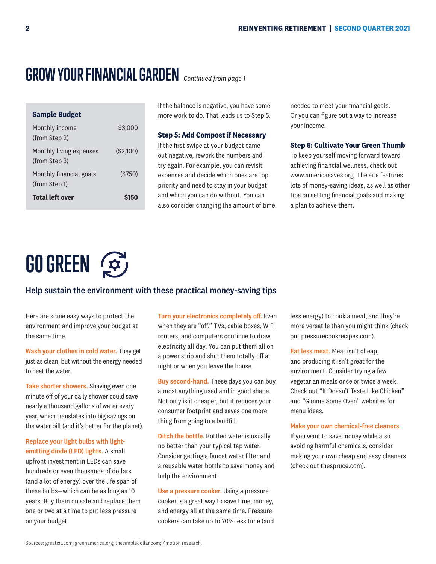### **GROW YOUR FINANCIAL GARDEN** *Continued from page 1*

| <b>Sample Budget</b>                     |             |
|------------------------------------------|-------------|
| Monthly income<br>(from Step 2)          | \$3,000     |
| Monthly living expenses<br>(from Step 3) | $(\$2,100)$ |
| Monthly financial goals<br>(from Step 1) | $(\$750)$   |
| <b>Total left over</b>                   |             |

If the balance is negative, you have some more work to do. That leads us to Step 5.

#### **Step 5: Add Compost if Necessary**

If the first swipe at your budget came out negative, rework the numbers and try again. For example, you can revisit expenses and decide which ones are top priority and need to stay in your budget and which you can do without. You can also consider changing the amount of time

needed to meet your financial goals. Or you can figure out a way to increase your income.

#### **Step 6: Cultivate Your Green Thumb**

To keep yourself moving forward toward achieving financial wellness, check out www.americasaves.org. The site features lots of money-saving ideas, as well as other tips on setting financial goals and making a plan to achieve them.

# **GO GREEN**

#### Help sustain the environment with these practical money-saving tips

Here are some easy ways to protect the environment and improve your budget at the same time.

Wash your clothes in cold water. They get just as clean, but without the energy needed to heat the water.

Take shorter showers. Shaving even one minute off of your daily shower could save nearly a thousand gallons of water every year, which translates into big savings on the water bill (and it's better for the planet).

Replace your light bulbs with lightemitting diode (LED) lights. A small upfront investment in LEDs can save hundreds or even thousands of dollars (and a lot of energy) over the life span of these bulbs—which can be as long as 10 years. Buy them on sale and replace them one or two at a time to put less pressure on your budget.

Turn your electronics completely off. Even when they are "off," TVs, cable boxes, WIFI routers, and computers continue to draw electricity all day. You can put them all on a power strip and shut them totally off at night or when you leave the house.

Buy second-hand. These days you can buy almost anything used and in good shape. Not only is it cheaper, but it reduces your consumer footprint and saves one more thing from going to a landfill.

Ditch the bottle. Bottled water is usually no better than your typical tap water. Consider getting a faucet water filter and a reusable water bottle to save money and help the environment.

Use a pressure cooker. Using a pressure cooker is a great way to save time, money, and energy all at the same time. Pressure cookers can take up to 70% less time (and less energy) to cook a meal, and they're more versatile than you might think (check out pressurecookrecipes.com).

Eat less meat. Meat isn't cheap, and producing it isn't great for the environment. Consider trying a few vegetarian meals once or twice a week. Check out "It Doesn't Taste Like Chicken" and "Gimme Some Oven" websites for menu ideas.

Make your own chemical-free cleaners. If you want to save money while also avoiding harmful chemicals, consider making your own cheap and easy cleaners (check out thespruce.com).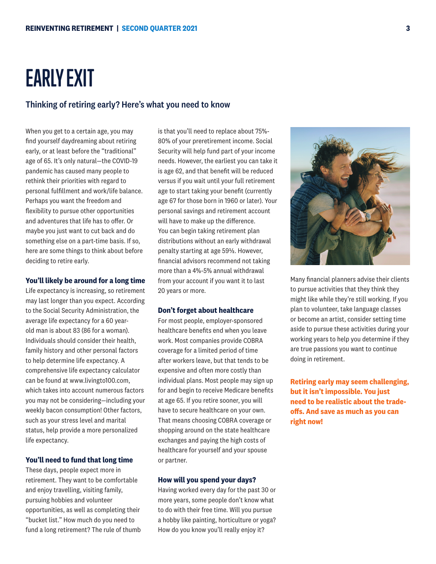### **EARLY EXIT**

#### Thinking of retiring early? Here's what you need to know

When you get to a certain age, you may find yourself daydreaming about retiring early, or at least before the "traditional" age of 65. It's only natural—the COVID-19 pandemic has caused many people to rethink their priorities with regard to personal fulfillment and work/life balance. Perhaps you want the freedom and flexibility to pursue other opportunities and adventures that life has to offer. Or maybe you just want to cut back and do something else on a part-time basis. If so, here are some things to think about before deciding to retire early.

#### **You'll likely be around for a long time**

Life expectancy is increasing, so retirement may last longer than you expect. According to the Social Security Administration, the average life expectancy for a 60 yearold man is about 83 (86 for a woman). Individuals should consider their health, family history and other personal factors to help determine life expectancy. A comprehensive life expectancy calculator can be found at www.livingto100.com, which takes into account numerous factors you may not be considering—including your weekly bacon consumption! Other factors, such as your stress level and marital status, help provide a more personalized life expectancy.

#### **You'll need to fund that long time**

These days, people expect more in retirement. They want to be comfortable and enjoy travelling, visiting family, pursuing hobbies and volunteer opportunities, as well as completing their "bucket list." How much do you need to fund a long retirement? The rule of thumb

is that you'll need to replace about 75%- 80% of your preretirement income. Social Security will help fund part of your income needs. However, the earliest you can take it is age 62, and that benefit will be reduced versus if you wait until your full retirement age to start taking your benefit (currently age 67 for those born in 1960 or later). Your personal savings and retirement account will have to make up the difference. You can begin taking retirement plan distributions without an early withdrawal penalty starting at age 59½. However, financial advisors recommend not taking more than a 4%-5% annual withdrawal from your account if you want it to last 20 years or more.

#### **Don't forget about healthcare**

For most people, employer-sponsored healthcare benefits end when you leave work. Most companies provide COBRA coverage for a limited period of time after workers leave, but that tends to be expensive and often more costly than individual plans. Most people may sign up for and begin to receive Medicare benefits at age 65. If you retire sooner, you will have to secure healthcare on your own. That means choosing COBRA coverage or shopping around on the state healthcare exchanges and paying the high costs of healthcare for yourself and your spouse or partner.

#### **How will you spend your days?**

Having worked every day for the past 30 or more years, some people don't know what to do with their free time. Will you pursue a hobby like painting, horticulture or yoga? How do you know you'll really enjoy it?



**Retiring early may seem challenging, but it isn't impossible. You just need to be realistic about the tradeoffs. And save as much as you can right now!**

are true passions you want to continue

doing in retirement.